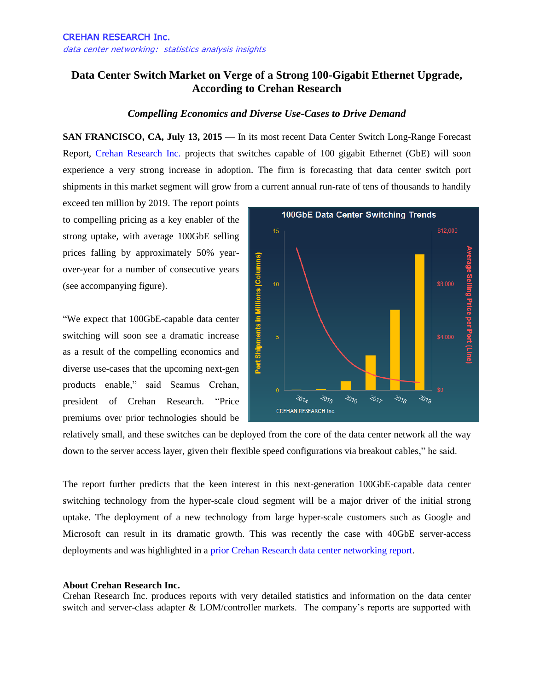## **Data Center Switch Market on Verge of a Strong 100-Gigabit Ethernet Upgrade, According to Crehan Research**

## *Compelling Economics and Diverse Use-Cases to Drive Demand*

**SAN FRANCISCO, CA, July 13, 2015 —** In its most recent Data Center Switch Long-Range Forecast Report, [Crehan Research Inc.](http://www.crehanresearch.com/) projects that switches capable of 100 gigabit Ethernet (GbE) will soon experience a very strong increase in adoption. The firm is forecasting that data center switch port shipments in this market segment will grow from a current annual run-rate of tens of thousands to handily

exceed ten million by 2019. The report points to compelling pricing as a key enabler of the strong uptake, with average 100GbE selling prices falling by approximately 50% yearover-year for a number of consecutive years (see accompanying figure).

"We expect that 100GbE-capable data center switching will soon see a dramatic increase as a result of the compelling economics and diverse use-cases that the upcoming next-gen products enable," said Seamus Crehan, president of Crehan Research. "Price premiums over prior technologies should be



relatively small, and these switches can be deployed from the core of the data center network all the way down to the server access layer, given their flexible speed configurations via breakout cables," he said.

The report further predicts that the keen interest in this next-generation 100GbE-capable data center switching technology from the hyper-scale cloud segment will be a major driver of the initial strong uptake. The deployment of a new technology from large hyper-scale customers such as Google and Microsoft can result in its dramatic growth. This was recently the case with 40GbE server-access deployments and was highlighted in a [prior Crehan Research data center networking report.](http://www.prnewswire.com/news-releases/surge-in-40-gigabit-data-center-networking-adoption-according-to-crehan-research-282944151.html)

## **About Crehan Research Inc.**

Crehan Research Inc. produces reports with very detailed statistics and information on the data center switch and server-class adapter & LOM/controller markets. The company's reports are supported with